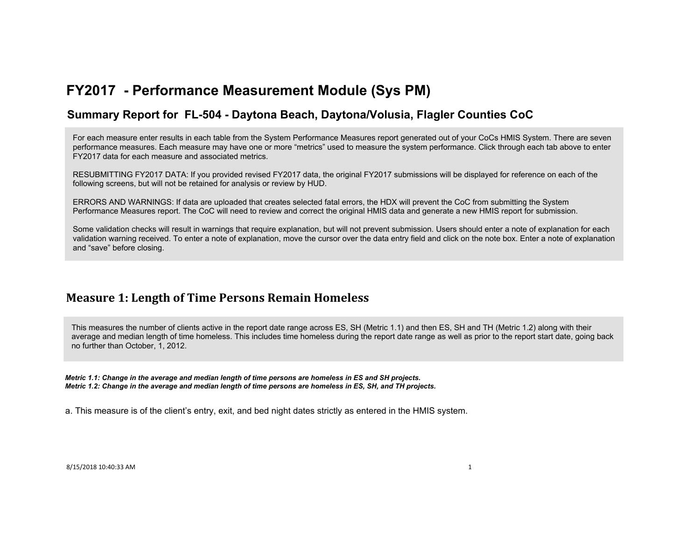### **Summary Report for FL-504 - Daytona Beach, Daytona/Volusia, Flagler Counties CoC**

For each measure enter results in each table from the System Performance Measures report generated out of your CoCs HMIS System. There are seven performance measures. Each measure may have one or more "metrics" used to measure the system performance. Click through each tab above to enter FY2017 data for each measure and associated metrics.

RESUBMITTING FY2017 DATA: If you provided revised FY2017 data, the original FY2017 submissions will be displayed for reference on each of the following screens, but will not be retained for analysis or review by HUD.

ERRORS AND WARNINGS: If data are uploaded that creates selected fatal errors, the HDX will prevent the CoC from submitting the System Performance Measures report. The CoC will need to review and correct the original HMIS data and generate a new HMIS report for submission.

Some validation checks will result in warnings that require explanation, but will not prevent submission. Users should enter a note of explanation for each validation warning received. To enter a note of explanation, move the cursor over the data entry field and click on the note box. Enter a note of explanation and "save" before closing.

### **Measure 1: Length of Time Persons Remain Homeless**

This measures the number of clients active in the report date range across ES, SH (Metric 1.1) and then ES, SH and TH (Metric 1.2) along with their average and median length of time homeless. This includes time homeless during the report date range as well as prior to the report start date, going back no further than October, 1, 2012.

*Metric 1.1: Change in the average and median length of time persons are homeless in ES and SH projects. Metric 1.2: Change in the average and median length of time persons are homeless in ES, SH, and TH projects.*

a. This measure is of the client's entry, exit, and bed night dates strictly as entered in the HMIS system.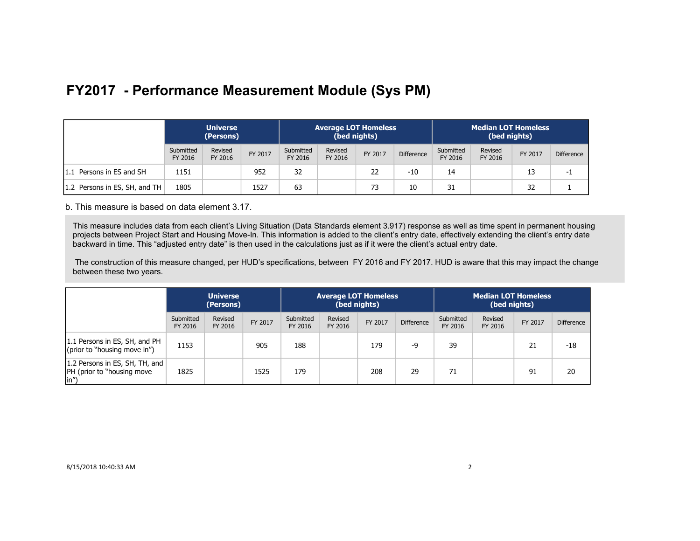|                               | <b>Universe</b><br>(Persons) |                    |         | <b>Average LOT Homeless</b><br>(bed nights) |                    |         |                   | <b>Median LOT Homeless</b><br>(bed nights) |                    |         |                   |
|-------------------------------|------------------------------|--------------------|---------|---------------------------------------------|--------------------|---------|-------------------|--------------------------------------------|--------------------|---------|-------------------|
|                               | Submitted<br>FY 2016         | Revised<br>FY 2016 | FY 2017 | Submitted<br>FY 2016                        | Revised<br>FY 2016 | FY 2017 | <b>Difference</b> | Submitted<br>FY 2016                       | Revised<br>FY 2016 | FY 2017 | <b>Difference</b> |
| 1.1 Persons in ES and SH      | 1151                         |                    | 952     | 32                                          |                    | 22      | $-10$             | 14                                         |                    |         | -1                |
| 1.2 Persons in ES, SH, and TH | 1805                         |                    | 1527    | 63                                          |                    | 73      | 10                | 31                                         |                    | 32      |                   |

b. This measure is based on data element 3.17.

This measure includes data from each client's Living Situation (Data Standards element 3.917) response as well as time spent in permanent housing projects between Project Start and Housing Move-In. This information is added to the client's entry date, effectively extending the client's entry date backward in time. This "adjusted entry date" is then used in the calculations just as if it were the client's actual entry date.

 The construction of this measure changed, per HUD's specifications, between FY 2016 and FY 2017. HUD is aware that this may impact the change between these two years.

|                                                                                     | <b>Universe</b><br>(Persons) |                    |         | <b>Average LOT Homeless</b><br>(bed nights) |                    |         | <b>Median LOT Homeless</b><br>(bed nights) |                      |                    |         |                   |
|-------------------------------------------------------------------------------------|------------------------------|--------------------|---------|---------------------------------------------|--------------------|---------|--------------------------------------------|----------------------|--------------------|---------|-------------------|
|                                                                                     | Submitted<br>FY 2016         | Revised<br>FY 2016 | FY 2017 | Submitted<br>FY 2016                        | Revised<br>FY 2016 | FY 2017 | <b>Difference</b>                          | Submitted<br>FY 2016 | Revised<br>FY 2016 | FY 2017 | <b>Difference</b> |
| 1.1 Persons in ES, SH, and PH<br>(prior to "housing move in")                       | 1153                         |                    | 905     | 188                                         |                    | 179     | -9                                         | 39                   |                    | 21      | -18               |
| 1.2 Persons in ES, SH, TH, and<br><b>PH</b> (prior to "housing move<br>$\vert$ in") | 1825                         |                    | 1525    | 179                                         |                    | 208     | 29                                         | 71                   |                    | 91      | 20                |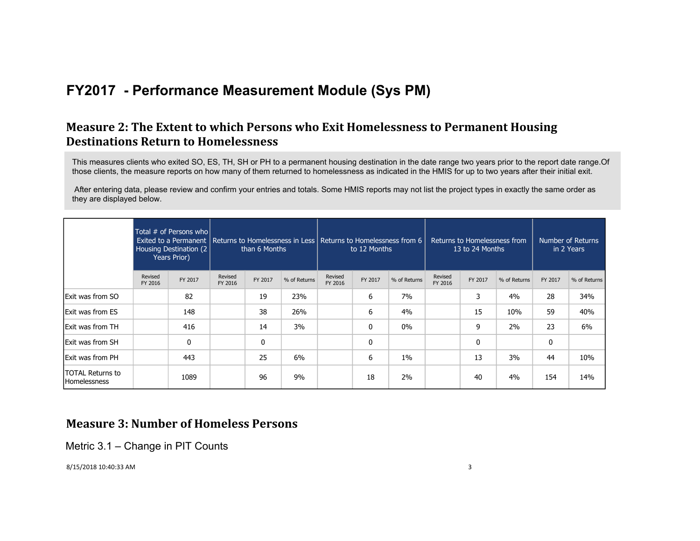### **Measure 2: The Extent to which Persons who Exit Homelessness to Permanent Housing Destinations Return to Homelessness**

This measures clients who exited SO, ES, TH, SH or PH to a permanent housing destination in the date range two years prior to the report date range.Of those clients, the measure reports on how many of them returned to homelessness as indicated in the HMIS for up to two years after their initial exit.

 After entering data, please review and confirm your entries and totals. Some HMIS reports may not list the project types in exactly the same order as they are displayed below.

|                                         |                    | Total # of Persons who<br>Housing Destination (2)<br>Years Prior) |                    | than 6 Months |              | to 12 Months       |         | Exited to a Permanent   Returns to Homelessness in Less   Returns to Homelessness from 6 |                    | Returns to Homelessness from<br>13 to 24 Months |              |         | Number of Returns<br>in 2 Years |
|-----------------------------------------|--------------------|-------------------------------------------------------------------|--------------------|---------------|--------------|--------------------|---------|------------------------------------------------------------------------------------------|--------------------|-------------------------------------------------|--------------|---------|---------------------------------|
|                                         | Revised<br>FY 2016 | FY 2017                                                           | Revised<br>FY 2016 | FY 2017       | % of Returns | Revised<br>FY 2016 | FY 2017 | % of Returns                                                                             | Revised<br>FY 2016 | FY 2017                                         | % of Returns | FY 2017 | % of Returns                    |
| <b>Exit was from SO</b>                 |                    | 82                                                                |                    | 19            | 23%          |                    | 6       | 7%                                                                                       |                    | 3                                               | 4%           | 28      | 34%                             |
| <b>Exit was from ES</b>                 |                    | 148                                                               |                    | 38            | 26%          |                    | 6       | 4%                                                                                       |                    | 15                                              | 10%          | 59      | 40%                             |
| Exit was from TH                        |                    | 416                                                               |                    | 14            | 3%           |                    | 0       | $0\%$                                                                                    |                    | 9                                               | $2\%$        | 23      | 6%                              |
| <b>Exit was from SH</b>                 |                    | 0                                                                 |                    | $\mathbf 0$   |              |                    | 0       |                                                                                          |                    | 0                                               |              | 0       |                                 |
| <b>Exit was from PH</b>                 |                    | 443                                                               |                    | 25            | 6%           |                    | 6       | $1\%$                                                                                    |                    | 13                                              | 3%           | 44      | 10%                             |
| TOTAL Returns to<br><b>Homelessness</b> |                    | 1089                                                              |                    | 96            | 9%           |                    | 18      | $2\%$                                                                                    |                    | 40                                              | 4%           | 154     | 14%                             |

### **Measure 3: Number of Homeless Persons**

Metric 3.1 – Change in PIT Counts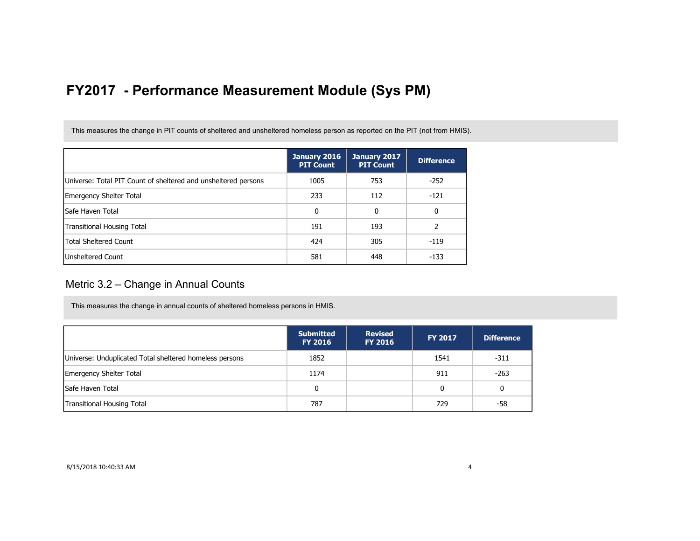This measures the change in PIT counts of sheltered and unsheltered homeless person as reported on the PIT (not from HMIS).

|                                                                | January 2016<br><b>PIT Count</b> | January 2017<br><b>PIT Count</b> | <b>Difference</b> |
|----------------------------------------------------------------|----------------------------------|----------------------------------|-------------------|
| Universe: Total PIT Count of sheltered and unsheltered persons | 1005                             | 753                              | $-252$            |
| Emergency Shelter Total                                        | 233                              | 112                              | $-121$            |
| lSafe Haven Total                                              | 0                                | 0                                | 0                 |
| <b>Transitional Housing Total</b>                              | 191                              | 193                              |                   |
| <b>Total Sheltered Count</b>                                   | 424                              | 305                              | $-119$            |
| <b>Unsheltered Count</b>                                       | 581                              | 448                              | $-133$            |

### Metric 3.2 – Change in Annual Counts

This measures the change in annual counts of sheltered homeless persons in HMIS.

|                                                         | <b>Submitted</b><br><b>FY 2016</b> | <b>Revised</b><br><b>FY 2016</b> | <b>FY 2017</b> | <b>Difference</b> |
|---------------------------------------------------------|------------------------------------|----------------------------------|----------------|-------------------|
| Universe: Unduplicated Total sheltered homeless persons | 1852                               |                                  | 1541           | $-311$            |
| <b>Emergency Shelter Total</b>                          | 1174                               |                                  | 911            | $-263$            |
| Safe Haven Total                                        | 0                                  |                                  | 0              | 0                 |
| <b>Transitional Housing Total</b>                       | 787                                |                                  | 729            | -58               |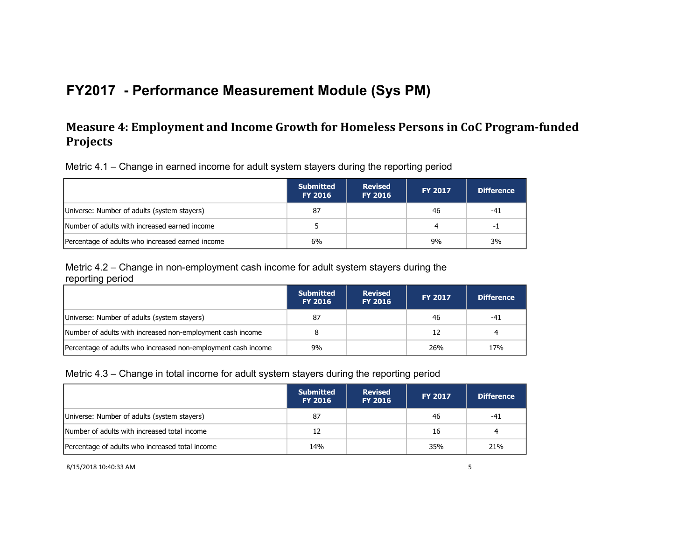### **Measure 4: Employment and Income Growth for Homeless Persons in CoC Program-funded Projects**

Metric 4.1 – Change in earned income for adult system stayers during the reporting period

|                                                  | <b>Submitted</b><br><b>FY 2016</b> | <b>Revised</b><br><b>FY 2016</b> | <b>FY 2017</b> | <b>Difference</b> |
|--------------------------------------------------|------------------------------------|----------------------------------|----------------|-------------------|
| Universe: Number of adults (system stayers)      | 87                                 |                                  | 46             | $-41$             |
| Number of adults with increased earned income    |                                    |                                  |                | -1                |
| Percentage of adults who increased earned income | 6%                                 |                                  | 9%             | 3%                |

Metric 4.2 – Change in non-employment cash income for adult system stayers during the reporting period

|                                                               | <b>Submitted</b><br><b>FY 2016</b> | <b>Revised</b><br><b>FY 2016</b> | <b>FY 2017</b> | <b>Difference</b> |
|---------------------------------------------------------------|------------------------------------|----------------------------------|----------------|-------------------|
| Universe: Number of adults (system stayers)                   | 87                                 |                                  | 46             | -41               |
| Number of adults with increased non-employment cash income    |                                    |                                  | 12             | 4                 |
| Percentage of adults who increased non-employment cash income | 9%                                 |                                  | 26%            | 17%               |

### Metric 4.3 – Change in total income for adult system stayers during the reporting period

|                                                 | <b>Submitted</b><br><b>FY 2016</b> | <b>Revised</b><br><b>FY 2016</b> | <b>FY 2017</b> | <b>Difference</b> |
|-------------------------------------------------|------------------------------------|----------------------------------|----------------|-------------------|
| Universe: Number of adults (system stayers)     | 87                                 |                                  | 46             | -41               |
| Number of adults with increased total income    | 12                                 |                                  | 16             | 4                 |
| Percentage of adults who increased total income | 14%                                |                                  | 35%            | 21%               |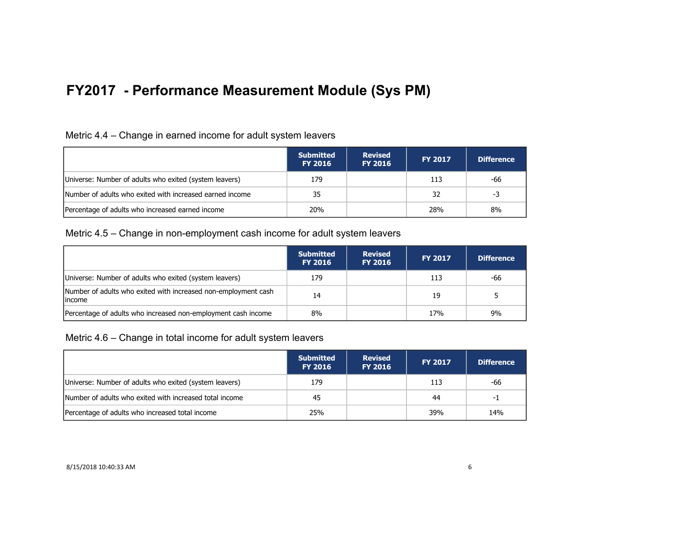### Metric 4.4 – Change in earned income for adult system leavers

|                                                          | <b>Submitted</b><br><b>FY 2016</b> | <b>Revised</b><br><b>FY 2016</b> | <b>FY 2017</b> | <b>Difference</b> |
|----------------------------------------------------------|------------------------------------|----------------------------------|----------------|-------------------|
| Universe: Number of adults who exited (system leavers)   | 179                                |                                  | 113            | -66               |
| Number of adults who exited with increased earned income | 35                                 |                                  | 32             | -3                |
| Percentage of adults who increased earned income         | 20%                                |                                  | 28%            | 8%                |

#### Metric 4.5 – Change in non-employment cash income for adult system leavers

|                                                                           | <b>Submitted</b><br><b>FY 2016</b> | <b>Revised</b><br><b>FY 2016</b> | <b>FY 2017</b> | <b>Difference</b> |
|---------------------------------------------------------------------------|------------------------------------|----------------------------------|----------------|-------------------|
| Universe: Number of adults who exited (system leavers)                    | 179                                |                                  | 113            | -66               |
| Number of adults who exited with increased non-employment cash<br>lincome | 14                                 |                                  | 19             |                   |
| Percentage of adults who increased non-employment cash income             | 8%                                 |                                  | 17%            | 9%                |

Metric 4.6 – Change in total income for adult system leavers

|                                                         | <b>Submitted</b><br><b>FY 2016</b> | <b>Revised</b><br><b>FY 2016</b> | <b>FY 2017</b> | <b>Difference</b> |
|---------------------------------------------------------|------------------------------------|----------------------------------|----------------|-------------------|
| Universe: Number of adults who exited (system leavers)  | 179                                |                                  | 113            | -66               |
| Number of adults who exited with increased total income | 45                                 |                                  | 44             | -1                |
| Percentage of adults who increased total income         | 25%                                |                                  | 39%            | 14%               |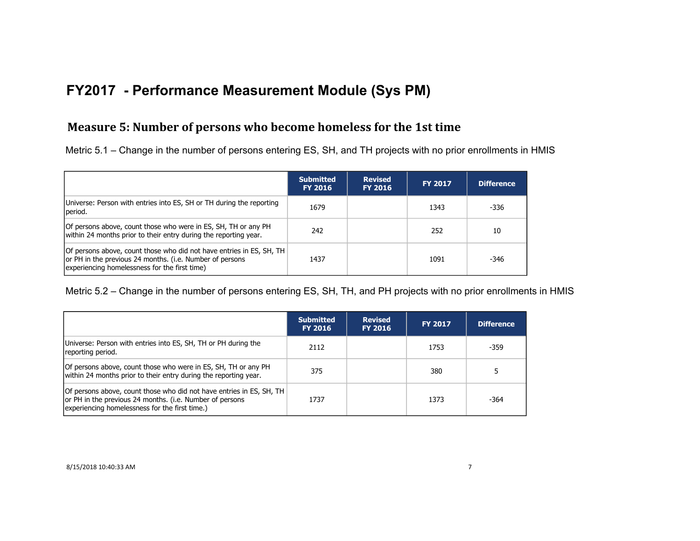### **Measure 5: Number of persons who become homeless for the 1st time**

Metric 5.1 – Change in the number of persons entering ES, SH, and TH projects with no prior enrollments in HMIS

|                                                                                                                                                                                   | <b>Submitted</b><br><b>FY 2016</b> | <b>Revised</b><br><b>FY 2016</b> | <b>FY 2017</b> | <b>Difference</b> |
|-----------------------------------------------------------------------------------------------------------------------------------------------------------------------------------|------------------------------------|----------------------------------|----------------|-------------------|
| Universe: Person with entries into ES, SH or TH during the reporting<br>period.                                                                                                   | 1679                               |                                  | 1343           | -336              |
| Of persons above, count those who were in ES, SH, TH or any PH<br>within 24 months prior to their entry during the reporting year.                                                | 242                                |                                  | 252            | 10                |
| Of persons above, count those who did not have entries in ES, SH, TH<br>or PH in the previous 24 months. (i.e. Number of persons<br>experiencing homelessness for the first time) | 1437                               |                                  | 1091           | -346              |

Metric 5.2 – Change in the number of persons entering ES, SH, TH, and PH projects with no prior enrollments in HMIS

|                                                                                                                                                                                    | <b>Submitted</b><br><b>FY 2016</b> | <b>Revised</b><br><b>FY 2016</b> | <b>FY 2017</b> | <b>Difference</b> |
|------------------------------------------------------------------------------------------------------------------------------------------------------------------------------------|------------------------------------|----------------------------------|----------------|-------------------|
| Universe: Person with entries into ES, SH, TH or PH during the<br>reporting period.                                                                                                | 2112                               |                                  | 1753           | $-359$            |
| Of persons above, count those who were in ES, SH, TH or any PH<br>within 24 months prior to their entry during the reporting year.                                                 | 375                                |                                  | 380            |                   |
| Of persons above, count those who did not have entries in ES, SH, TH<br>or PH in the previous 24 months. (i.e. Number of persons<br>experiencing homelessness for the first time.) | 1737                               |                                  | 1373           | -364              |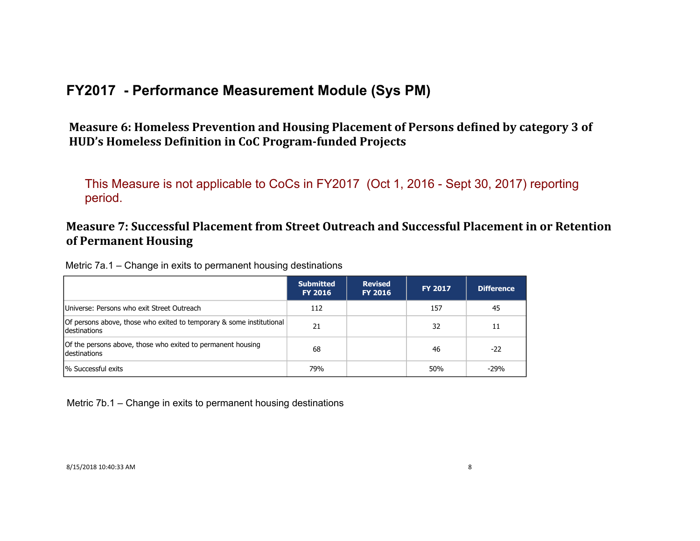Measure 6: Homeless Prevention and Housing Placement of Persons defined by category 3 of HUD's Homeless Definition in CoC Program-funded Projects

This Measure is not applicable to CoCs in FY2017 (Oct 1, 2016 - Sept 30, 2017) reporting period.

### **Measure 7: Successful Placement from Street Outreach and Successful Placement in or Retention of Permanent Housing**

| Metric 7a.1 – Change in exits to permanent housing destinations |  |  |
|-----------------------------------------------------------------|--|--|
|-----------------------------------------------------------------|--|--|

|                                                                                      | <b>Submitted</b><br><b>FY 2016</b> | <b>Revised</b><br><b>FY 2016</b> | <b>FY 2017</b> | <b>Difference</b> |
|--------------------------------------------------------------------------------------|------------------------------------|----------------------------------|----------------|-------------------|
| Universe: Persons who exit Street Outreach                                           | 112                                |                                  | 157            | 45                |
| Of persons above, those who exited to temporary & some institutional<br>destinations | 21                                 |                                  | 32             | 11                |
| Of the persons above, those who exited to permanent housing<br>destinations          | 68                                 |                                  | 46             | $-22$             |
| % Successful exits                                                                   | 79%                                |                                  | 50%            | $-29%$            |

Metric 7b.1 – Change in exits to permanent housing destinations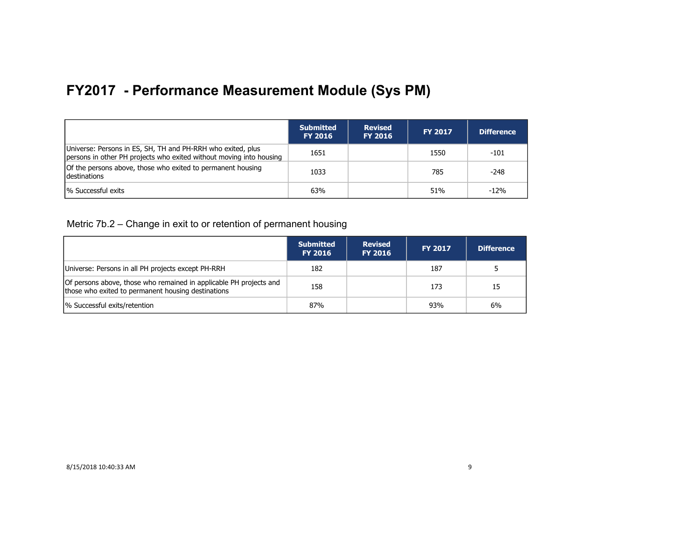|                                                                                                                                    | <b>Submitted</b><br><b>FY 2016</b> | <b>Revised</b><br><b>FY 2016</b> | <b>FY 2017</b> | <b>Difference</b> |
|------------------------------------------------------------------------------------------------------------------------------------|------------------------------------|----------------------------------|----------------|-------------------|
| Universe: Persons in ES, SH, TH and PH-RRH who exited, plus<br>persons in other PH projects who exited without moving into housing | 1651                               |                                  | 1550           | $-101$            |
| Of the persons above, those who exited to permanent housing<br><b>Idestinations</b>                                                | 1033                               |                                  | 785            | -248              |
| <sup>1</sup> % Successful exits                                                                                                    | 63%                                |                                  | 51%            | $-12%$            |

Metric 7b.2 – Change in exit to or retention of permanent housing

|                                                                                                                          | <b>Submitted</b><br><b>FY 2016</b> | <b>Revised</b><br><b>FY 2016</b> | <b>FY 2017</b> | <b>Difference</b> |
|--------------------------------------------------------------------------------------------------------------------------|------------------------------------|----------------------------------|----------------|-------------------|
| Universe: Persons in all PH projects except PH-RRH                                                                       | 182                                |                                  | 187            |                   |
| Of persons above, those who remained in applicable PH projects and<br>those who exited to permanent housing destinations | 158                                |                                  | 173            | 15                |
| % Successful exits/retention                                                                                             | 87%                                |                                  | 93%            | 6%                |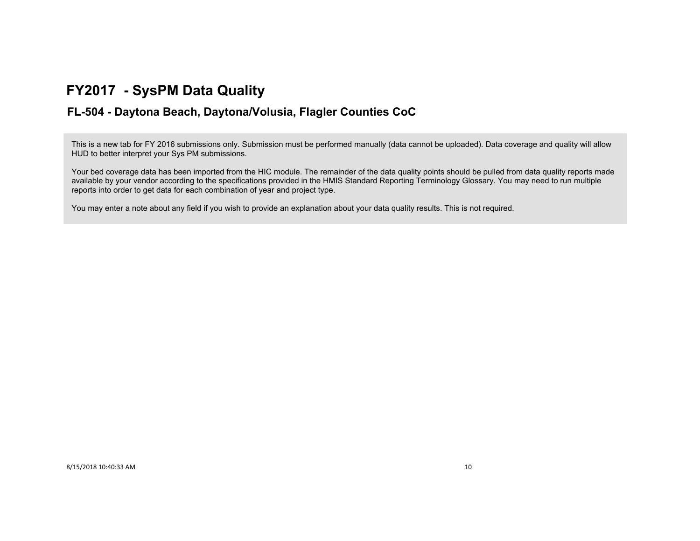## **FY2017 - SysPM Data Quality**

### **FL-504 - Daytona Beach, Daytona/Volusia, Flagler Counties CoC**

This is a new tab for FY 2016 submissions only. Submission must be performed manually (data cannot be uploaded). Data coverage and quality will allow HUD to better interpret your Sys PM submissions.

Your bed coverage data has been imported from the HIC module. The remainder of the data quality points should be pulled from data quality reports made available by your vendor according to the specifications provided in the HMIS Standard Reporting Terminology Glossary. You may need to run multiple reports into order to get data for each combination of year and project type.

You may enter a note about any field if you wish to provide an explanation about your data quality results. This is not required.